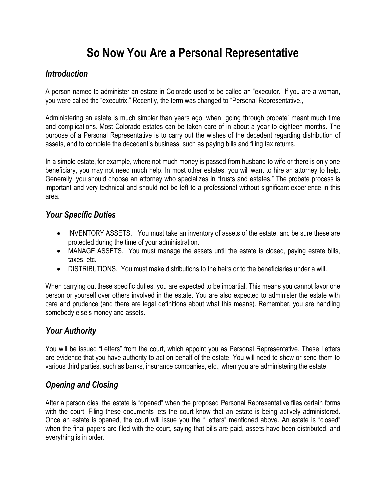# **So Now You Are a Personal Representative**

## *Introduction*

A person named to administer an estate in Colorado used to be called an "executor." If you are a woman, you were called the "executrix." Recently, the term was changed to "Personal Representative.,"

Administering an estate is much simpler than years ago, when "going through probate" meant much time and complications. Most Colorado estates can be taken care of in about a year to eighteen months. The purpose of a Personal Representative is to carry out the wishes of the decedent regarding distribution of assets, and to complete the decedent's business, such as paying bills and filing tax returns.

In a simple estate, for example, where not much money is passed from husband to wife or there is only one beneficiary, you may not need much help. In most other estates, you will want to hire an attorney to help. Generally, you should choose an attorney who specializes in "trusts and estates." The probate process is important and very technical and should not be left to a professional without significant experience in this area.

## *Your Specific Duties*

- INVENTORY ASSETS. You must take an inventory of assets of the estate, and be sure these are protected during the time of your administration.
- MANAGE ASSETS. You must manage the assets until the estate is closed, paying estate bills, taxes, etc.
- DISTRIBUTIONS. You must make distributions to the heirs or to the beneficiaries under a will.

When carrying out these specific duties, you are expected to be impartial. This means you cannot favor one person or yourself over others involved in the estate. You are also expected to administer the estate with care and prudence (and there are legal definitions about what this means). Remember, you are handling somebody else's money and assets.

## *Your Authority*

You will be issued "Letters" from the court, which appoint you as Personal Representative. These Letters are evidence that you have authority to act on behalf of the estate. You will need to show or send them to various third parties, such as banks, insurance companies, etc., when you are administering the estate.

## *Opening and Closing*

After a person dies, the estate is "opened" when the proposed Personal Representative files certain forms with the court. Filing these documents lets the court know that an estate is being actively administered. Once an estate is opened, the court will issue you the "Letters" mentioned above. An estate is "closed" when the final papers are filed with the court, saying that bills are paid, assets have been distributed, and everything is in order.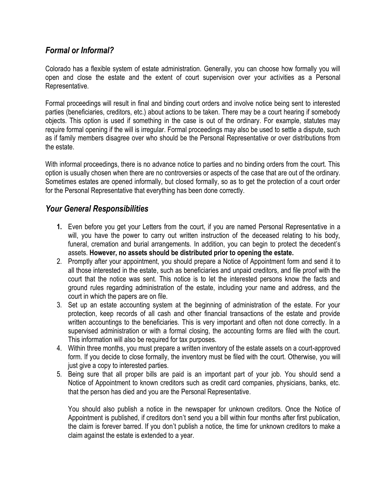## *Formal or Informal?*

Colorado has a flexible system of estate administration. Generally, you can choose how formally you will open and close the estate and the extent of court supervision over your activities as a Personal Representative.

Formal proceedings will result in final and binding court orders and involve notice being sent to interested parties (beneficiaries, creditors, etc.) about actions to be taken. There may be a court hearing if somebody objects. This option is used if something in the case is out of the ordinary. For example, statutes may require formal opening if the will is irregular. Formal proceedings may also be used to settle a dispute, such as if family members disagree over who should be the Personal Representative or over distributions from the estate.

With informal proceedings, there is no advance notice to parties and no binding orders from the court. This option is usually chosen when there are no controversies or aspects of the case that are out of the ordinary. Sometimes estates are opened informally, but closed formally, so as to get the protection of a court order for the Personal Representative that everything has been done correctly.

#### *Your General Responsibilities*

- **1.** Even before you get your Letters from the court, if you are named Personal Representative in a will, you have the power to carry out written instruction of the deceased relating to his body, funeral, cremation and burial arrangements. In addition, you can begin to protect the decedent's assets. **However, no assets should be distributed prior to opening the estate.**
- 2. Promptly after your appointment, you should prepare a Notice of Appointment form and send it to all those interested in the estate, such as beneficiaries and unpaid creditors, and file proof with the court that the notice was sent. This notice is to let the interested persons know the facts and ground rules regarding administration of the estate, including your name and address, and the court in which the papers are on file.
- 3. Set up an estate accounting system at the beginning of administration of the estate. For your protection, keep records of all cash and other financial transactions of the estate and provide written accountings to the beneficiaries. This is very important and often not done correctly. In a supervised administration or with a formal closing, the accounting forms are filed with the court. This information will also be required for tax purposes.
- 4. Within three months, you must prepare a written inventory of the estate assets on a court-approved form. If you decide to close formally, the inventory must be filed with the court. Otherwise, you will just give a copy to interested parties.
- 5. Being sure that all proper bills are paid is an important part of your job. You should send a Notice of Appointment to known creditors such as credit card companies, physicians, banks, etc. that the person has died and you are the Personal Representative.

You should also publish a notice in the newspaper for unknown creditors. Once the Notice of Appointment is published, if creditors don't send you a bill within four months after first publication, the claim is forever barred. If you don't publish a notice, the time for unknown creditors to make a claim against the estate is extended to a year.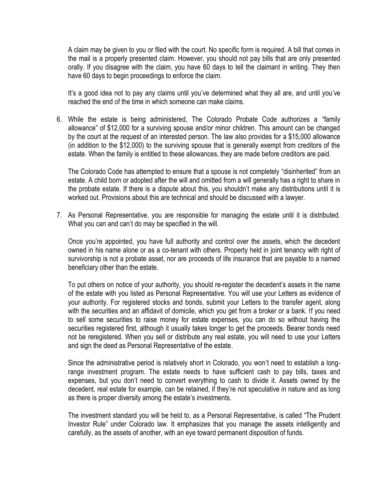A claim may be given to you or filed with the court. No specific form is required. A bill that comes in the mail is a properly presented claim. However, you should not pay bills that are only presented orally. If you disagree with the claim, you have 60 days to tell the claimant in writing. They then have 60 days to begin proceedings to enforce the claim.

It's a good idea not to pay any claims until you've determined what they all are, and until you've reached the end of the time in which someone can make claims.

6. While the estate is being administered, The Colorado Probate Code authorizes a "family allowance" of \$12,000 for a surviving spouse and/or minor children. This amount can be changed by the court at the request of an interested person. The law also provides for a \$15,000 allowance (in addition to the \$12,000) to the surviving spouse that is generally exempt from creditors of the estate. When the family is entitled to these allowances, they are made before creditors are paid.

The Colorado Code has attempted to ensure that a spouse is not completely "disinherited" from an estate. A child born or adopted after the will and omitted from a will generally has a right to share in the probate estate. If there is a dispute about this, you shouldn't make any distributions until it is worked out. Provisions about this are technical and should be discussed with a lawyer.

7. As Personal Representative, you are responsible for managing the estate until it is distributed. What you can and can't do may be specified in the will.

Once you're appointed, you have full authority and control over the assets, which the decedent owned in his name alone or as a co-tenant with others. Property held in joint tenancy with right of survivorship is not a probate asset, nor are proceeds of life insurance that are payable to a named beneficiary other than the estate.

To put others on notice of your authority, you should re-register the decedent's assets in the name of the estate with you listed as Personal Representative. You will use your Letters as evidence of your authority. For registered stocks and bonds, submit your Letters to the transfer agent, along with the securities and an affidavit of domicile, which you get from a broker or a bank. If you need to sell some securities to raise money for estate expenses, you can do so without having the securities registered first, although it usually takes longer to get the proceeds. Bearer bonds need not be reregistered. When you sell or distribute any real estate, you will need to use your Letters and sign the deed as Personal Representative of the estate.

Since the administrative period is relatively short in Colorado, you won't need to establish a longrange investment program. The estate needs to have sufficient cash to pay bills, taxes and expenses, but you don't need to convert everything to cash to divide it. Assets owned by the decedent, real estate for example, can be retained, if they're not speculative in nature and as long as there is proper diversity among the estate's investments.

The investment standard you will be held to, as a Personal Representative, is called "The Prudent Investor Rule" under Colorado law. It emphasizes that you manage the assets intelligently and carefully, as the assets of another, with an eye toward permanent disposition of funds.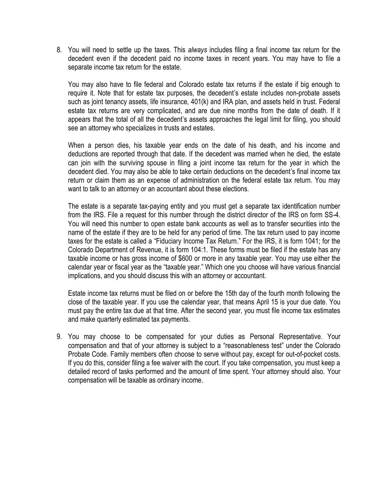8. You will need to settle up the taxes. This *always* includes filing a final income tax return for the decedent even if the decedent paid no income taxes in recent years. You may have to file a separate income tax return for the estate.

You may also have to file federal and Colorado estate tax returns if the estate if big enough to require it. Note that for estate tax purposes, the decedent's estate includes non-probate assets such as joint tenancy assets, life insurance, 401(k) and IRA plan, and assets held in trust. Federal estate tax returns are very complicated, and are due nine months from the date of death. If it appears that the total of all the decedent's assets approaches the legal limit for filing, you should see an attorney who specializes in trusts and estates.

When a person dies, his taxable year ends on the date of his death, and his income and deductions are reported through that date. If the decedent was married when he died, the estate can join with the surviving spouse in filing a joint income tax return for the year in which the decedent died. You may also be able to take certain deductions on the decedent's final income tax return or claim them as an expense of administration on the federal estate tax return. You may want to talk to an attorney or an accountant about these elections.

The estate is a separate tax-paying entity and you must get a separate tax identification number from the IRS. File a request for this number through the district director of the IRS on form SS-4. You will need this number to open estate bank accounts as well as to transfer securities into the name of the estate if they are to be held for any period of time. The tax return used to pay income taxes for the estate is called a "Fiduciary Income Tax Return." For the IRS, it is form 1041; for the Colorado Department of Revenue, it is form 104:1. These forms must be filed if the estate has any taxable income or has gross income of \$600 or more in any taxable year. You may use either the calendar year or fiscal year as the "taxable year." Which one you choose will have various financial implications, and you should discuss this with an attorney or accountant.

Estate income tax returns must be filed on or before the 15th day of the fourth month following the close of the taxable year. If you use the calendar year, that means April 15 is your due date. You must pay the entire tax due at that time. After the second year, you must file income tax estimates and make quarterly estimated tax payments.

9. You may choose to be compensated for your duties as Personal Representative. Your compensation and that of your attorney is subject to a "reasonableness test" under the Colorado Probate Code. Family members often choose to serve without pay, except for out-of-pocket costs. If you do this, consider filing a fee waiver with the court. If you take compensation, you must keep a detailed record of tasks performed and the amount of time spent. Your attorney should also. Your compensation will be taxable as ordinary income.